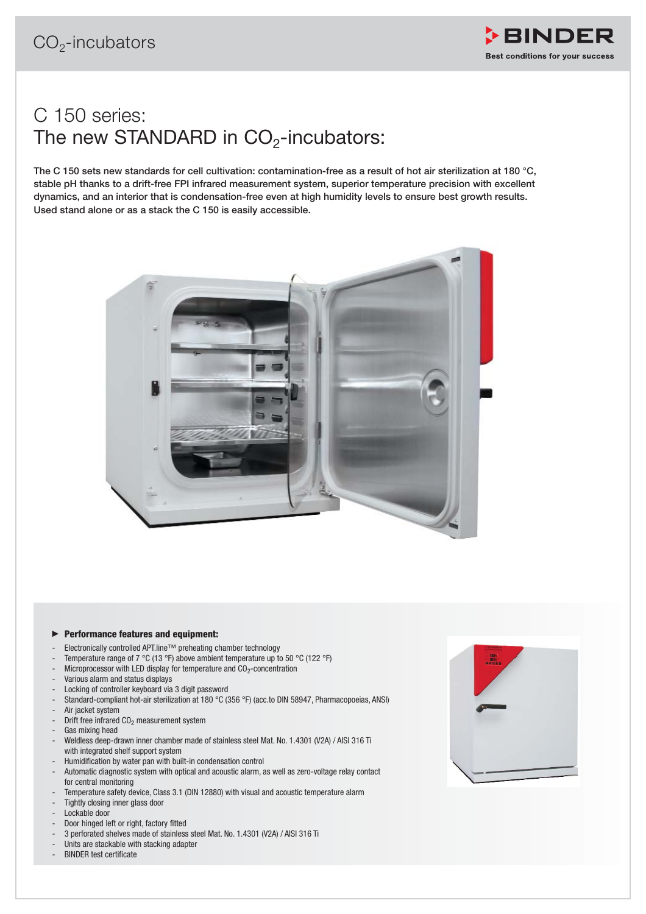

## C 150 series: The new STANDARD in  $CO<sub>2</sub>$ -incubators:

**The C 150 sets new standards for cell cultivation: contamination-free as a result of hot air sterilization at 180 °C, stable pH thanks to a drift-free FPI infrared measurement system, superior temperature precision with excellent dynamics, and an interior that is condensation-free even at high humidity levels to ensure best growth results. Used stand alone or as a stack the C 150 is easily accessible.** 



## - **Performance features and equipment:**

- Electronically controlled APT.line™ preheating chamber technology
- Temperature range of 7 °C (13 °F) above ambient temperature up to 50 °C (122 °F)
- Microprocessor with LED display for temperature and  $CO<sub>2</sub>$ -concentration
- Various alarm and status displays
- Locking of controller keyboard via 3 digit password
- Standard-compliant hot-air sterilization at 180 °C (356 °F) (acc.to DIN 58947, Pharmacopoeias, ANSI) Air jacket system
- Drift free infrared  $CO<sub>2</sub>$  measurement system
- Gas mixing head
- Weldless deep-drawn inner chamber made of stainless steel Mat. No. 1.4301 (V2A) / AISI 316 Ti with integrated shelf support system
- Humidification by water pan with built-in condensation control
- Automatic diagnostic system with optical and acoustic alarm, as well as zero-voltage relay contact for central monitoring
- Temperature safety device, Class 3.1 (DIN 12880) with visual and acoustic temperature alarm Tightly closing inner glass door
- Lockable door
- Door hinged left or right, factory fitted
- 3 perforated shelves made of stainless steel Mat. No. 1.4301 (V2A) / AISI 316 Ti
- Units are stackable with stacking adapter
- BINDER test certificate